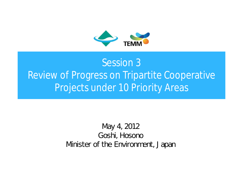

### Session 3 Review of Progress on Tripartite Cooperative Projects under 10 Priority Areas

May 4, 2012 Goshi, Hosono Minister of the Environment, Japan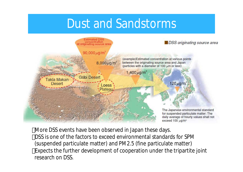### Dust and Sandstorms



More DSS events have been observed in Japan these days. DSS is one of the factors to exceed environmental standards for SPM (suspended particulate matter) and PM2.5 (fine particulate matter) Expects the further development of cooperation under the tripartite joint research on DSS.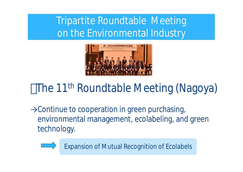Tripartite Roundtable Meeting on the Environmental Industry



## The 11<sup>th</sup> Roundtable Meeting (Nagoya)

→Continue to cooperation in green purchasing, environmental management, ecolabeling, and green technology.



Expansion of Mutual Recognition of Ecolabels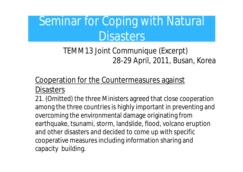# Seminar for Coping with Natural **Disasters**

### TEMM13 Joint Communique (Excerpt) 28-29 April, 2011, Busan, Korea

# Cooperation for the Countermeasures against

**Disasters** 

21. (Omitted) the three Ministers agreed that close cooperation among the three countries is highly important in preventing and overcoming the environmental damage originating from earthquake, tsunami, storm, landslide, flood, volcano eruption and other disasters and decided to come up with specific cooperative measures including information sharing and capacity building.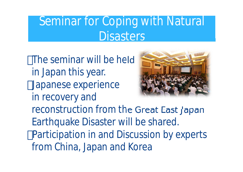# Seminar for Coping with Natural **Disasters**

The seminar will be held in Japan this year. Japanese experience in recovery and reconstruction from the Great East Japan Earthquake Disaster will be shared. Participation in and Discussion by experts from China, Japan and Korea